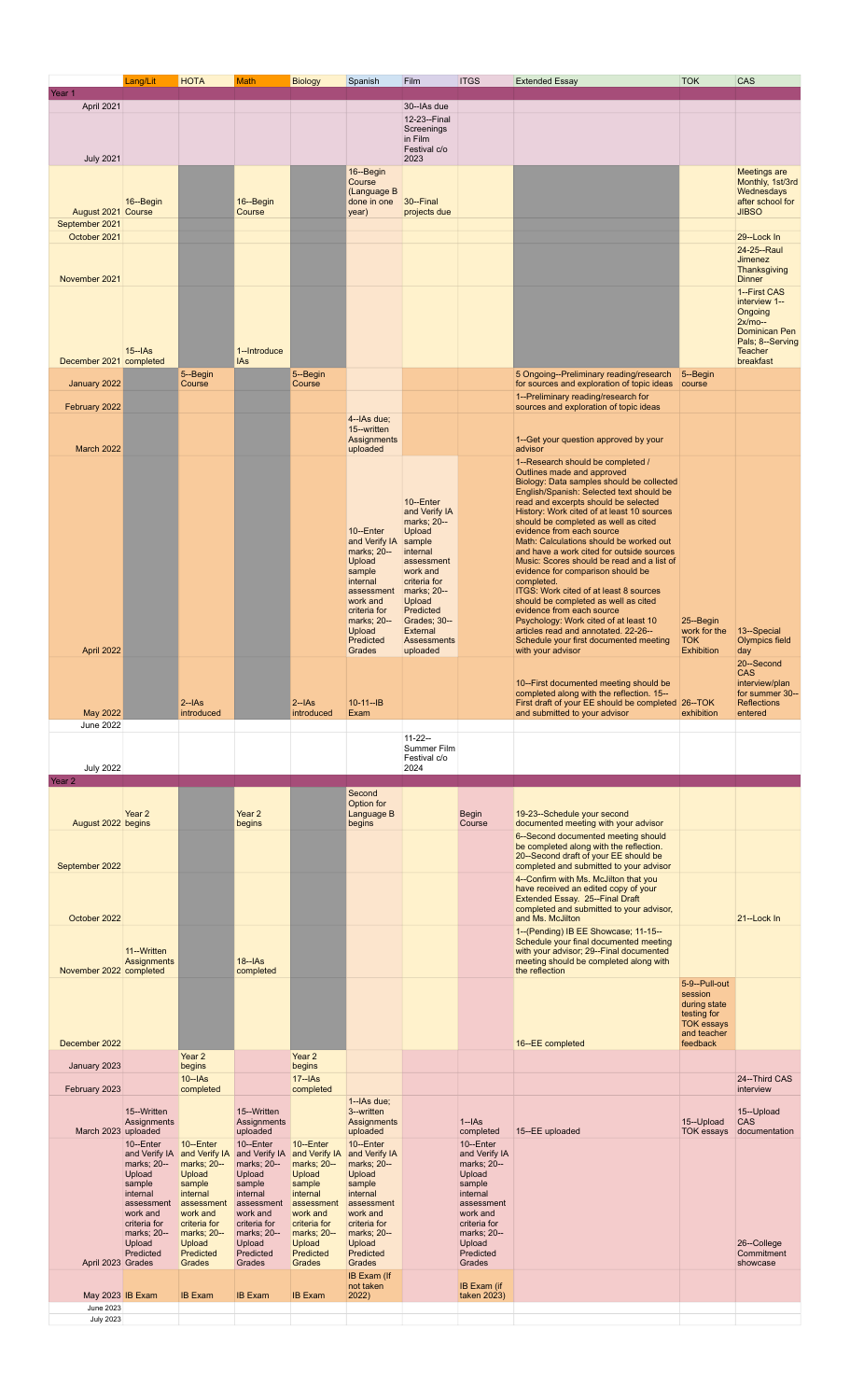|                                | Lang/Lit                                 | <b>HOTA</b>                  | <b>Math</b>                              | <b>Biology</b>           | Spanish                          | Film                        | <b>ITGS</b>                | <b>Extended Essay</b>                                                                   | <b>TOK</b>                       | CAS                                     |
|--------------------------------|------------------------------------------|------------------------------|------------------------------------------|--------------------------|----------------------------------|-----------------------------|----------------------------|-----------------------------------------------------------------------------------------|----------------------------------|-----------------------------------------|
| Year 1                         |                                          |                              |                                          |                          |                                  |                             |                            |                                                                                         |                                  |                                         |
| April 2021                     |                                          |                              |                                          |                          |                                  | 30--IAs due<br>12-23--Final |                            |                                                                                         |                                  |                                         |
|                                |                                          |                              |                                          |                          |                                  | Screenings                  |                            |                                                                                         |                                  |                                         |
|                                |                                          |                              |                                          |                          |                                  | in Film<br>Festival c/o     |                            |                                                                                         |                                  |                                         |
| <b>July 2021</b>               |                                          |                              |                                          |                          | 16--Begin                        | 2023                        |                            |                                                                                         |                                  |                                         |
|                                |                                          |                              |                                          |                          | Course                           |                             |                            |                                                                                         |                                  | <b>Meetings are</b><br>Monthly, 1st/3rd |
|                                | 16--Begin                                |                              | 16--Begin                                |                          | (Language B<br>done in one       | 30--Final                   |                            |                                                                                         |                                  | Wednesdays<br>after school for          |
| August 2021 Course             |                                          |                              | Course                                   |                          | year)                            | projects due                |                            |                                                                                         |                                  | <b>JIBSO</b>                            |
| September 2021<br>October 2021 |                                          |                              |                                          |                          |                                  |                             |                            |                                                                                         |                                  | 29-Lock In                              |
|                                |                                          |                              |                                          |                          |                                  |                             |                            |                                                                                         |                                  | 24-25 -- Raul                           |
|                                |                                          |                              |                                          |                          |                                  |                             |                            |                                                                                         |                                  | <b>Jimenez</b><br>Thanksgiving          |
| November 2021                  |                                          |                              |                                          |                          |                                  |                             |                            |                                                                                         |                                  | <b>Dinner</b>                           |
|                                |                                          |                              |                                          |                          |                                  |                             |                            |                                                                                         |                                  | 1--First CAS<br>interview 1--           |
|                                |                                          |                              |                                          |                          |                                  |                             |                            |                                                                                         |                                  | Ongoing<br>$2x/mo-$                     |
|                                |                                          |                              |                                          |                          |                                  |                             |                            |                                                                                         |                                  | Dominican Pen<br>Pals; 8--Serving       |
|                                | $15 -$ IAs                               |                              | 1--Introduce                             |                          |                                  |                             |                            |                                                                                         |                                  | <b>Teacher</b>                          |
| December 2021 completed        |                                          | 5--Begin                     | IAs                                      | 5--Begin                 |                                  |                             |                            | 5 Ongoing--Preliminary reading/research                                                 | 5--Begin                         | breakfast                               |
| January 2022                   |                                          | Course                       |                                          | Course                   |                                  |                             |                            | for sources and exploration of topic ideas                                              | course                           |                                         |
| February 2022                  |                                          |                              |                                          |                          |                                  |                             |                            | 1--Preliminary reading/research for<br>sources and exploration of topic ideas           |                                  |                                         |
|                                |                                          |                              |                                          |                          | 4--IAs due;                      |                             |                            |                                                                                         |                                  |                                         |
|                                |                                          |                              |                                          |                          | 15--written<br>Assignments       |                             |                            | 1--Get your question approved by your                                                   |                                  |                                         |
| March 2022                     |                                          |                              |                                          |                          | uploaded                         |                             |                            | advisor                                                                                 |                                  |                                         |
|                                |                                          |                              |                                          |                          |                                  |                             |                            | 1--Research should be completed /<br>Outlines made and approved                         |                                  |                                         |
|                                |                                          |                              |                                          |                          |                                  |                             |                            | Biology: Data samples should be collected<br>English/Spanish: Selected text should be   |                                  |                                         |
|                                |                                          |                              |                                          |                          |                                  | 10--Enter<br>and Verify IA  |                            | read and excerpts should be selected<br>History: Work cited of at least 10 sources      |                                  |                                         |
|                                |                                          |                              |                                          |                          |                                  | marks; 20--                 |                            | should be completed as well as cited                                                    |                                  |                                         |
|                                |                                          |                              |                                          |                          | 10-Enter<br>and Verify IA sample | Upload                      |                            | evidence from each source<br>Math: Calculations should be worked out                    |                                  |                                         |
|                                |                                          |                              |                                          |                          | marks; 20--<br>Upload            | internal<br>assessment      |                            | and have a work cited for outside sources<br>Music: Scores should be read and a list of |                                  |                                         |
|                                |                                          |                              |                                          |                          | sample<br>internal               | work and<br>criteria for    |                            | evidence for comparison should be<br>completed.                                         |                                  |                                         |
|                                |                                          |                              |                                          |                          | assessment   marks; 20--         |                             |                            | ITGS: Work cited of at least 8 sources                                                  |                                  |                                         |
|                                |                                          |                              |                                          |                          | work and<br>criteria for         | Upload<br>Predicted         |                            | should be completed as well as cited<br>evidence from each source                       |                                  |                                         |
|                                |                                          |                              |                                          |                          | marks; 20--<br>Upload            | Grades; 30--<br>External    |                            | Psychology: Work cited of at least 10<br>articles read and annotated. 22-26--           | 25-Begin<br>work for the         | 13-Special                              |
| April 2022                     |                                          |                              |                                          |                          | Predicted<br>Grades              | Assessments                 |                            | Schedule your first documented meeting<br>with your advisor                             | <b>TOK</b><br><b>Exhibition</b>  | <b>Olympics field</b>                   |
|                                |                                          |                              |                                          |                          |                                  | uploaded                    |                            |                                                                                         |                                  | day<br>20-Second                        |
|                                |                                          |                              |                                          |                          |                                  |                             |                            | 10--First documented meeting should be                                                  |                                  | <b>CAS</b><br>interview/plan            |
|                                |                                          |                              |                                          |                          |                                  |                             |                            | completed along with the reflection. 15--                                               |                                  | for summer 30--                         |
| May 2022                       |                                          | $2 - IAS$<br>introduced      |                                          | $2 - IAS$<br>introduced  | $10-11-IB$<br>Exam               |                             |                            | First draft of your EE should be completed 26--TOK<br>and submitted to your advisor     | exhibition                       | Reflections<br>entered                  |
| <b>June 2022</b>               |                                          |                              |                                          |                          |                                  |                             |                            |                                                                                         |                                  |                                         |
|                                |                                          |                              |                                          |                          |                                  | $11 - 22 -$<br>Summer Film  |                            |                                                                                         |                                  |                                         |
| <b>July 2022</b>               |                                          |                              |                                          |                          |                                  | Festival c/o<br>2024        |                            |                                                                                         |                                  |                                         |
| Year <sub>2</sub>              |                                          |                              |                                          |                          |                                  |                             |                            |                                                                                         |                                  |                                         |
|                                |                                          |                              |                                          |                          | Second<br>Option for             |                             |                            |                                                                                         |                                  |                                         |
|                                | Year 2                                   |                              | Year 2                                   |                          | Language B                       |                             | <b>Begin</b>               | 19-23--Schedule your second                                                             |                                  |                                         |
| August 2022 begins             |                                          |                              | begins                                   |                          | begins                           |                             | Course                     | documented meeting with your advisor<br>6--Second documented meeting should             |                                  |                                         |
|                                |                                          |                              |                                          |                          |                                  |                             |                            |                                                                                         |                                  |                                         |
| September 2022                 |                                          |                              |                                          |                          |                                  |                             |                            | be completed along with the reflection.                                                 |                                  |                                         |
|                                |                                          |                              |                                          |                          |                                  |                             |                            | 20--Second draft of your EE should be<br>completed and submitted to your advisor        |                                  |                                         |
|                                |                                          |                              |                                          |                          |                                  |                             |                            | 4--Confirm with Ms. McJilton that you                                                   |                                  |                                         |
|                                |                                          |                              |                                          |                          |                                  |                             |                            | have received an edited copy of your<br><b>Extended Essay. 25--Final Draft</b>          |                                  |                                         |
| October 2022                   |                                          |                              |                                          |                          |                                  |                             |                            | completed and submitted to your advisor,<br>and Ms. McJilton                            |                                  | 21-Lock In                              |
|                                |                                          |                              |                                          |                          |                                  |                             |                            | 1--(Pending) IB EE Showcase; 11-15--                                                    |                                  |                                         |
|                                | 11-Written                               |                              |                                          |                          |                                  |                             |                            | Schedule your final documented meeting<br>with your advisor; 29--Final documented       |                                  |                                         |
|                                | Assignments                              |                              | $18 - IAS$                               |                          |                                  |                             |                            | meeting should be completed along with                                                  |                                  |                                         |
| November 2022 completed        |                                          |                              | completed                                |                          |                                  |                             |                            | the reflection                                                                          | 5-9--Pull-out                    |                                         |
|                                |                                          |                              |                                          |                          |                                  |                             |                            |                                                                                         | session<br>during state          |                                         |
|                                |                                          |                              |                                          |                          |                                  |                             |                            |                                                                                         | testing for                      |                                         |
|                                |                                          |                              |                                          |                          |                                  |                             |                            |                                                                                         | <b>TOK essays</b><br>and teacher |                                         |
| December 2022                  |                                          | Year 2                       |                                          | Year 2                   |                                  |                             |                            | 16--EE completed                                                                        | feedback                         |                                         |
| January 2023                   |                                          | begins                       |                                          | begins                   |                                  |                             |                            |                                                                                         |                                  |                                         |
| February 2023                  |                                          | $10 - IAS$<br>completed      |                                          | $17 - As$<br>completed   |                                  |                             |                            |                                                                                         |                                  | 24-Third CAS<br>interview               |
|                                |                                          |                              |                                          |                          | 1--IAs due;                      |                             |                            |                                                                                         |                                  |                                         |
|                                | 15--Written<br>Assignments               |                              | 15--Written<br>Assignments               |                          | 3--written<br>Assignments        |                             | $1 - IAS$                  |                                                                                         | 15--Upload                       | 15--Upload<br><b>CAS</b>                |
| March 2023 uploaded            |                                          |                              | uploaded                                 |                          | uploaded                         |                             | completed<br>10-Enter      | 15--EE uploaded                                                                         | <b>TOK essays</b>                | documentation                           |
|                                | 10--Enter<br>and Verify IA and Verify IA | 10-Enter                     | 10--Enter<br>and Verify IA and Verify IA | 10--Enter                | 10--Enter<br>and Verify IA       |                             | and Verify IA              |                                                                                         |                                  |                                         |
|                                | marks; 20--<br>Upload                    | marks; 20--<br><b>Upload</b> | marks; 20--<br>Upload                    | marks; 20--<br>Upload    | marks; 20--<br>Upload            |                             | marks; 20--<br>Upload      |                                                                                         |                                  |                                         |
|                                | sample<br>internal                       | sample<br>internal           | sample<br>internal                       | sample<br>internal       | sample<br>internal               |                             | sample<br>internal         |                                                                                         |                                  |                                         |
|                                | assessment                               | assessment                   | assessment<br>work and                   | assessment               | assessment<br>work and           |                             | assessment<br>work and     |                                                                                         |                                  |                                         |
|                                | work and<br>criteria for                 | work and<br>criteria for     | criteria for                             | work and<br>criteria for | criteria for                     |                             | criteria for               |                                                                                         |                                  |                                         |
|                                | marks; 20--<br>Upload                    | marks; 20--<br>Upload        | marks; 20--<br>Upload                    | marks; 20--<br>Upload    | marks; 20--<br>Upload            |                             | marks; 20--<br>Upload      |                                                                                         |                                  | 26-College                              |
| April 2023 Grades              | Predicted                                | Predicted<br>Grades          | Predicted<br>Grades                      | Predicted<br>Grades      | Predicted<br>Grades              |                             | Predicted<br>Grades        |                                                                                         |                                  | Commitment<br>showcase                  |
|                                |                                          |                              |                                          |                          | <b>IB Exam (If</b>               |                             |                            |                                                                                         |                                  |                                         |
| May 2023 IB Exam               |                                          | <b>IB Exam</b>               | <b>IB Exam</b>                           | <b>IB Exam</b>           | not taken<br>2022)               |                             | IB Exam (if<br>taken 2023) |                                                                                         |                                  |                                         |